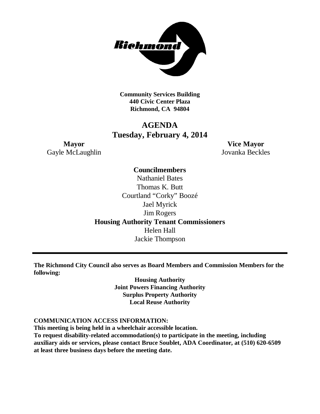

**Community Services Building 440 Civic Center Plaza Richmond, CA 94804**

# **AGENDA Tuesday, February 4, 2014**

Gayle McLaughlin Jovanka Beckles

**Mayor Vice Mayor**

## **Councilmembers**

Nathaniel Bates Thomas K. Butt Courtland "Corky" Boozé Jael Myrick Jim Rogers **Housing Authority Tenant Commissioners** Helen Hall Jackie Thompson

**The Richmond City Council also serves as Board Members and Commission Members for the following:**

> **Housing Authority Joint Powers Financing Authority Surplus Property Authority Local Reuse Authority**

### **COMMUNICATION ACCESS INFORMATION:**

**This meeting is being held in a wheelchair accessible location.**

**To request disability-related accommodation(s) to participate in the meeting, including auxiliary aids or services, please contact Bruce Soublet, ADA Coordinator, at (510) 620-6509 at least three business days before the meeting date.**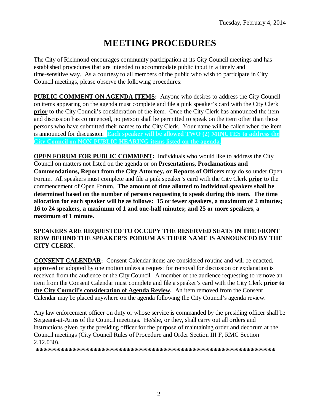# **MEETING PROCEDURES**

The City of Richmond encourages community participation at its City Council meetings and has established procedures that are intended to accommodate public input in a timely and time-sensitive way. As a courtesy to all members of the public who wish to participate in City Council meetings, please observe the following procedures:

**PUBLIC COMMENT ON AGENDA ITEMS:** Anyone who desires to address the City Council on items appearing on the agenda must complete and file a pink speaker's card with the City Clerk **prior** to the City Council's consideration of the item. Once the City Clerk has announced the item and discussion has commenced, no person shall be permitted to speak on the item other than those persons who have submitted their names to the City Clerk. Your name will be called when the item is announced for discussion. **Each speaker will be allowed TWO (2) MINUTES to address the City Council on NON-PUBLIC HEARING items listed on the agenda.**

**OPEN FORUM FOR PUBLIC COMMENT:** Individuals who would like to address the City Council on matters not listed on the agenda or on **Presentations, Proclamations and Commendations, Report from the City Attorney, or Reports of Officers** may do so under Open Forum. All speakers must complete and file a pink speaker's card with the City Clerk **prior** to the commencement of Open Forum. **The amount of time allotted to individual speakers shall be determined based on the number of persons requesting to speak during this item. The time allocation for each speaker will be as follows: 15 or fewer speakers, a maximum of 2 minutes; 16 to 24 speakers, a maximum of 1 and one-half minutes; and 25 or more speakers, a maximum of 1 minute.**

### **SPEAKERS ARE REQUESTED TO OCCUPY THE RESERVED SEATS IN THE FRONT ROW BEHIND THE SPEAKER'S PODIUM AS THEIR NAME IS ANNOUNCED BY THE CITY CLERK.**

**CONSENT CALENDAR:** Consent Calendar items are considered routine and will be enacted, approved or adopted by one motion unless a request for removal for discussion or explanation is received from the audience or the City Council. A member of the audience requesting to remove an item from the Consent Calendar must complete and file a speaker's card with the City Clerk **prior to the City Council's consideration of Agenda Review.** An item removed from the Consent Calendar may be placed anywhere on the agenda following the City Council's agenda review.

Any law enforcement officer on duty or whose service is commanded by the presiding officer shall be Sergeant-at-Arms of the Council meetings. He/she, or they, shall carry out all orders and instructions given by the presiding officer for the purpose of maintaining order and decorum at the Council meetings (City Council Rules of Procedure and Order Section III F, RMC Section 2.12.030).

**\*\*\*\*\*\*\*\*\*\*\*\*\*\*\*\*\*\*\*\*\*\*\*\*\*\*\*\*\*\*\*\*\*\*\*\*\*\*\*\*\*\*\*\*\*\*\*\*\*\*\*\*\*\*\*\*\*\***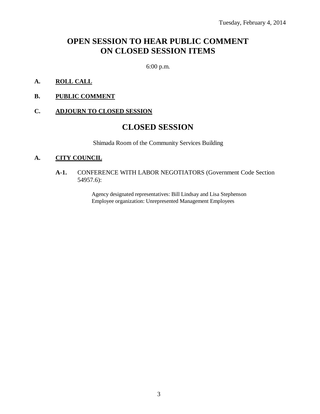# **OPEN SESSION TO HEAR PUBLIC COMMENT ON CLOSED SESSION ITEMS**

6:00 p.m.

- **A. ROLL CALL**
- **B. PUBLIC COMMENT**

### **C. ADJOURN TO CLOSED SESSION**

# **CLOSED SESSION**

Shimada Room of the Community Services Building

#### **A. CITY COUNCIL**

**A-1.** CONFERENCE WITH LABOR NEGOTIATORS (Government Code Section 54957.6):

> Agency designated representatives: Bill Lindsay and Lisa Stephenson Employee organization: Unrepresented Management Employees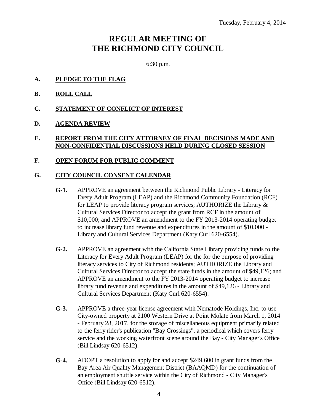# **REGULAR MEETING OF THE RICHMOND CITY COUNCIL**

6:30 p.m.

- **A. PLEDGE TO THE FLAG**
- **B. ROLL CALL**
- **C. STATEMENT OF CONFLICT OF INTEREST**
- **D. AGENDA REVIEW**

### **E. REPORT FROM THE CITY ATTORNEY OF FINAL DECISIONS MADE AND NON-CONFIDENTIAL DISCUSSIONS HELD DURING CLOSED SESSION**

### **F. OPEN FORUM FOR PUBLIC COMMENT**

#### **G. CITY COUNCIL CONSENT CALENDAR**

- **G-1.** APPROVE an agreement between the Richmond Public Library Literacy for Every Adult Program (LEAP) and the Richmond Community Foundation (RCF) for LEAP to provide literacy program services; AUTHORIZE the Library & Cultural Services Director to accept the grant from RCF in the amount of \$10,000; and APPROVE an amendment to the FY 2013-2014 operating budget to increase library fund revenue and expenditures in the amount of \$10,000 - Library and Cultural Services Department (Katy Curl 620-6554).
- **G-2.** APPROVE an agreement with the California State Library providing funds to the Literacy for Every Adult Program (LEAP) for the for the purpose of providing literacy services to City of Richmond residents; AUTHORIZE the Library and Cultural Services Director to accept the state funds in the amount of \$49,126; and APPROVE an amendment to the FY 2013-2014 operating budget to increase library fund revenue and expenditures in the amount of \$49,126 - Library and Cultural Services Department (Katy Curl 620-6554).
- **G-3.** APPROVE a three-year license agreement with Nematode Holdings, Inc. to use City-owned property at 2100 Western Drive at Point Molate from March 1, 2014 - February 28, 2017, for the storage of miscellaneous equipment primarily related to the ferry rider's publication "Bay Crossings", a periodical which covers ferry service and the working waterfront scene around the Bay - City Manager's Office (Bill Lindsay 620-6512).
- **G-4.** ADOPT a resolution to apply for and accept \$249,600 in grant funds from the Bay Area Air Quality Management District (BAAQMD) for the continuation of an employment shuttle service within the City of Richmond - City Manager's Office (Bill Lindsay 620-6512).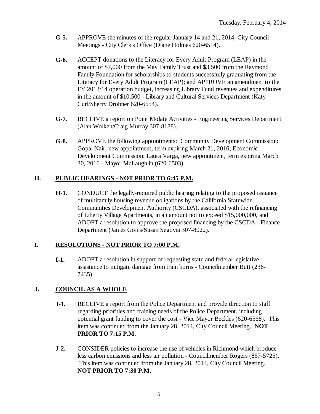- **G-5.** APPROVE the minutes of the regular January 14 and 21, 2014, City Council Meetings - City Clerk's Office (Diane Holmes 620-6514).
- **G-6.** ACCEPT donations to the Literacy for Every Adult Program (LEAP) in the amount of \$7,000 from the May Family Trust and \$3,500 from the Raymond Family Foundation for scholarships to students successfully graduating from the Literacy for Every Adult Program (LEAP); and APPROVE an amendment to the FY 2013/14 operation budget, increasing Library Fund revenues and expenditures in the amount of \$10,500 - Library and Cultural Services Department (Katy Curl/Sherry Drobner 620-6554).
- **G-7.** RECEIVE a report on Point Molate Activities Engineering Services Department (Alan Wolken/Craig Murray 307-8188).
- **G-8.** APPROVE the following appointments: Community Development Commission: Gopal Nair, new appointment, term expiring March 21, 2016; Economic Development Commission: Laura Varga, new appointment, term expiring March 30, 2016 - Mayor McLaughlin (620-6503).

## **H. PUBLIC HEARINGS - NOT PRIOR TO 6:45 P.M.**

**H-1.** CONDUCT the legally-required public hearing relating to the proposed issuance of multifamily housing revenue obligations by the California Statewide Communities Development Authority (CSCDA), associated with the refinancing of Liberty Village Apartments, in an amount not to exceed \$15,000,000, and ADOPT a resolution to approve the proposed financing by the CSCDA - Finance Department (James Goins/Susan Segovia 307-8022).

### **I. RESOLUTIONS - NOT PRIOR TO 7:00 P.M.**

**I-1.** ADOPT a resolution in support of requesting state and federal legislative assistance to mitigate damage from train horns - Councilmember Butt (236- 7435).

# **J. COUNCIL AS A WHOLE**

- **J-1.** RECEIVE a report from the Police Department and provide direction to staff regarding priorities and training needs of the Police Department, including potential grant funding to cover the cost - Vice Mayor Beckles (620-6568). This item was continued from the January 28, 2014, City Council Meeting. **NOT PRIOR TO 7:15 P.M.**
- **J-2.** CONSIDER policies to increase the use of vehicles in Richmond which produce less carbon emissions and less air pollution - Councilmember Rogers (867-5725). This item was continued from the January 28, 2014, City Council Meeting. **NOT PRIOR TO 7:30 P.M.**